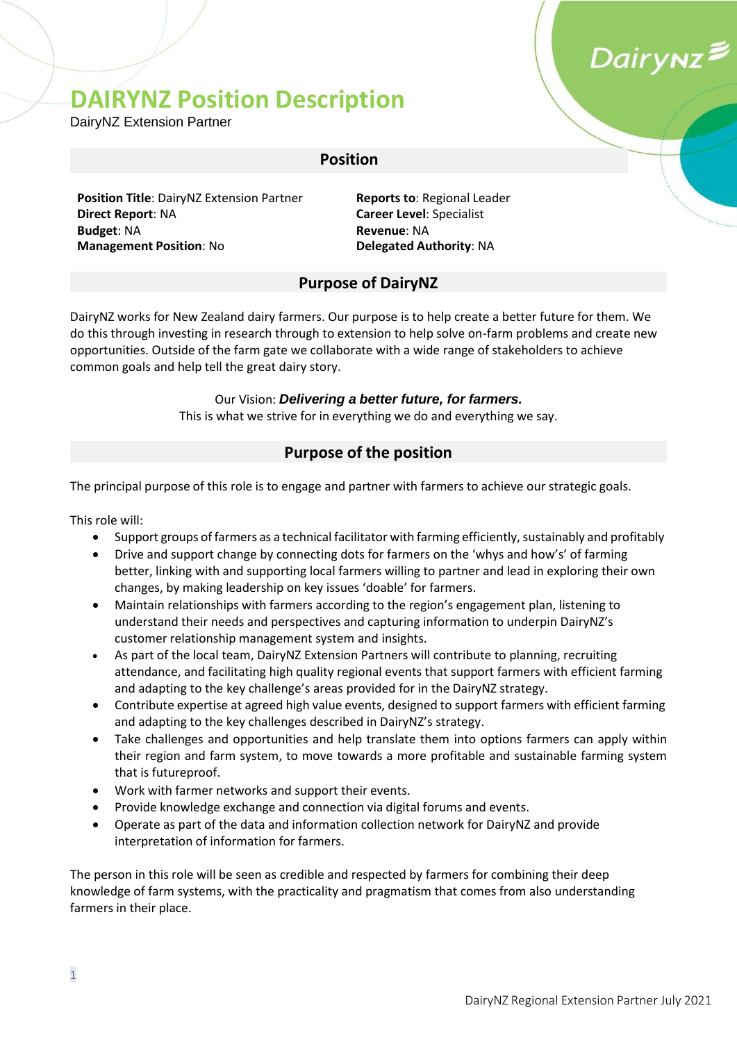## Dairynz**≥**

### **DAIRYNZ Position Description**

DairyNZ Extension Partner

#### **Position**

**Position Title**: DairyNZ Extension Partner **Reports to**: Regional Leader **Direct Report**: NA **Career Level**: Specialist **Budget**: NA **Revenue**: NA **Management Position: No <b>Delegated Authority: NA** 

#### **Purpose of DairyNZ**

DairyNZ works for New Zealand dairy farmers. Our purpose is to help create a better future for them. We do this through investing in research through to extension to help solve on-farm problems and create new opportunities. Outside of the farm gate we collaborate with a wide range of stakeholders to achieve common goals and help tell the great dairy story.

#### Our Vision: *Delivering a better future, for farmers.*

This is what we strive for in everything we do and everything we say.

#### **Purpose of the position**

The principal purpose of this role is to engage and partner with farmers to achieve our strategic goals.

This role will:

- Support groups of farmers as a technical facilitator with farming efficiently, sustainably and profitably
- Drive and support change by connecting dots for farmers on the 'whys and how's' of farming better, linking with and supporting local farmers willing to partner and lead in exploring their own changes, by making leadership on key issues 'doable' for farmers.
- Maintain relationships with farmers according to the region's engagement plan, listening to understand their needs and perspectives and capturing information to underpin DairyNZ's customer relationship management system and insights.
- As part of the local team, DairyNZ Extension Partners will contribute to planning, recruiting attendance, and facilitating high quality regional events that support farmers with efficient farming and adapting to the key challenge's areas provided for in the DairyNZ strategy.
- Contribute expertise at agreed high value events, designed to support farmers with efficient farming and adapting to the key challenges described in DairyNZ's strategy.
- Take challenges and opportunities and help translate them into options farmers can apply within their region and farm system, to move towards a more profitable and sustainable farming system that is futureproof.
- Work with farmer networks and support their events.
- Provide knowledge exchange and connection via digital forums and events.
- Operate as part of the data and information collection network for DairyNZ and provide interpretation of information for farmers.

The person in this role will be seen as credible and respected by farmers for combining their deep knowledge of farm systems, with the practicality and pragmatism that comes from also understanding farmers in their place.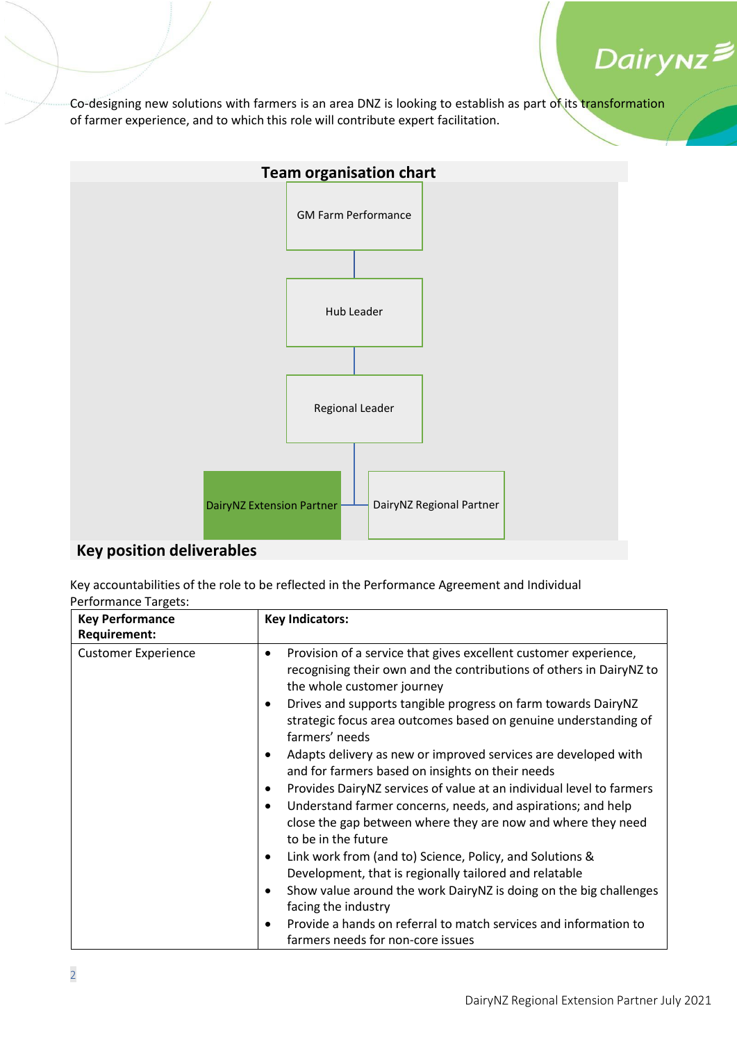

Co-designing new solutions with farmers is an area DNZ is looking to establish as part of its transformation of farmer experience, and to which this role will contribute expert facilitation.



#### **Key position deliverables**

Key accountabilities of the role to be reflected in the Performance Agreement and Individual Performance Targets:

| <b>Key Performance</b><br><b>Requirement:</b> | <b>Key Indicators:</b>                                                                                                                                                             |
|-----------------------------------------------|------------------------------------------------------------------------------------------------------------------------------------------------------------------------------------|
| <b>Customer Experience</b>                    | Provision of a service that gives excellent customer experience,<br>$\bullet$<br>recognising their own and the contributions of others in DairyNZ to<br>the whole customer journey |
|                                               | Drives and supports tangible progress on farm towards DairyNZ<br>٠<br>strategic focus area outcomes based on genuine understanding of<br>farmers' needs                            |
|                                               | Adapts delivery as new or improved services are developed with<br>and for farmers based on insights on their needs                                                                 |
|                                               | Provides DairyNZ services of value at an individual level to farmers                                                                                                               |
|                                               | Understand farmer concerns, needs, and aspirations; and help<br>close the gap between where they are now and where they need<br>to be in the future                                |
|                                               | Link work from (and to) Science, Policy, and Solutions &                                                                                                                           |
|                                               | Development, that is regionally tailored and relatable                                                                                                                             |
|                                               | Show value around the work DairyNZ is doing on the big challenges<br>facing the industry                                                                                           |
|                                               | Provide a hands on referral to match services and information to<br>farmers needs for non-core issues                                                                              |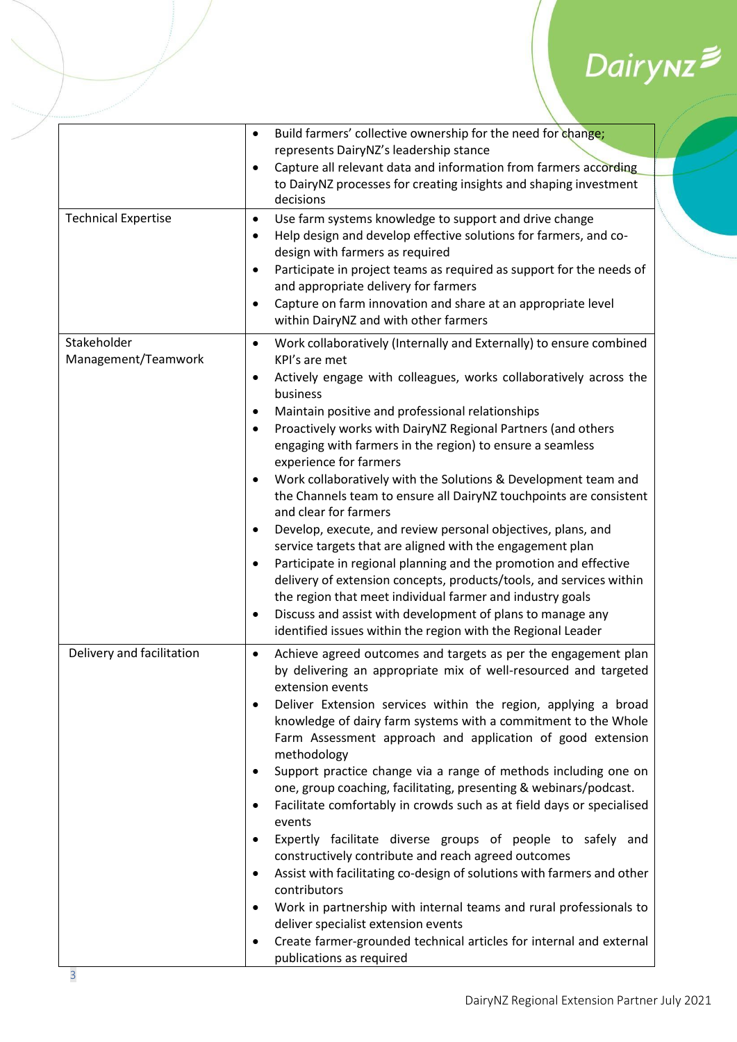# Dairynz<sup>≢</sup>

|                                    | Build farmers' collective ownership for the need for change;<br>$\bullet$                                                                                                                                                                                                                                                                                                                                                                                                                                                                                                                                                                                                                                                                                                                                                                                                                                                                                                                                                                                                                                        |
|------------------------------------|------------------------------------------------------------------------------------------------------------------------------------------------------------------------------------------------------------------------------------------------------------------------------------------------------------------------------------------------------------------------------------------------------------------------------------------------------------------------------------------------------------------------------------------------------------------------------------------------------------------------------------------------------------------------------------------------------------------------------------------------------------------------------------------------------------------------------------------------------------------------------------------------------------------------------------------------------------------------------------------------------------------------------------------------------------------------------------------------------------------|
|                                    | represents DairyNZ's leadership stance                                                                                                                                                                                                                                                                                                                                                                                                                                                                                                                                                                                                                                                                                                                                                                                                                                                                                                                                                                                                                                                                           |
|                                    | Capture all relevant data and information from farmers according<br>$\bullet$                                                                                                                                                                                                                                                                                                                                                                                                                                                                                                                                                                                                                                                                                                                                                                                                                                                                                                                                                                                                                                    |
|                                    | to DairyNZ processes for creating insights and shaping investment<br>decisions                                                                                                                                                                                                                                                                                                                                                                                                                                                                                                                                                                                                                                                                                                                                                                                                                                                                                                                                                                                                                                   |
| <b>Technical Expertise</b>         | Use farm systems knowledge to support and drive change<br>$\bullet$<br>Help design and develop effective solutions for farmers, and co-<br>٠<br>design with farmers as required<br>Participate in project teams as required as support for the needs of<br>$\bullet$<br>and appropriate delivery for farmers<br>Capture on farm innovation and share at an appropriate level<br>$\bullet$                                                                                                                                                                                                                                                                                                                                                                                                                                                                                                                                                                                                                                                                                                                        |
|                                    | within DairyNZ and with other farmers                                                                                                                                                                                                                                                                                                                                                                                                                                                                                                                                                                                                                                                                                                                                                                                                                                                                                                                                                                                                                                                                            |
| Stakeholder<br>Management/Teamwork | Work collaboratively (Internally and Externally) to ensure combined<br>$\bullet$<br>KPI's are met<br>Actively engage with colleagues, works collaboratively across the<br>٠<br>business<br>Maintain positive and professional relationships<br>$\bullet$<br>Proactively works with DairyNZ Regional Partners (and others<br>٠<br>engaging with farmers in the region) to ensure a seamless<br>experience for farmers<br>Work collaboratively with the Solutions & Development team and<br>$\bullet$<br>the Channels team to ensure all DairyNZ touchpoints are consistent<br>and clear for farmers<br>Develop, execute, and review personal objectives, plans, and<br>$\bullet$<br>service targets that are aligned with the engagement plan<br>Participate in regional planning and the promotion and effective<br>٠<br>delivery of extension concepts, products/tools, and services within<br>the region that meet individual farmer and industry goals<br>Discuss and assist with development of plans to manage any<br>٠<br>identified issues within the region with the Regional Leader                     |
| Delivery and facilitation          | Achieve agreed outcomes and targets as per the engagement plan<br>$\bullet$<br>by delivering an appropriate mix of well-resourced and targeted<br>extension events<br>Deliver Extension services within the region, applying a broad<br>$\bullet$<br>knowledge of dairy farm systems with a commitment to the Whole<br>Farm Assessment approach and application of good extension<br>methodology<br>Support practice change via a range of methods including one on<br>٠<br>one, group coaching, facilitating, presenting & webinars/podcast.<br>Facilitate comfortably in crowds such as at field days or specialised<br>٠<br>events<br>Expertly facilitate diverse groups of people to safely and<br>$\bullet$<br>constructively contribute and reach agreed outcomes<br>Assist with facilitating co-design of solutions with farmers and other<br>٠<br>contributors<br>Work in partnership with internal teams and rural professionals to<br>$\bullet$<br>deliver specialist extension events<br>Create farmer-grounded technical articles for internal and external<br>$\bullet$<br>publications as required |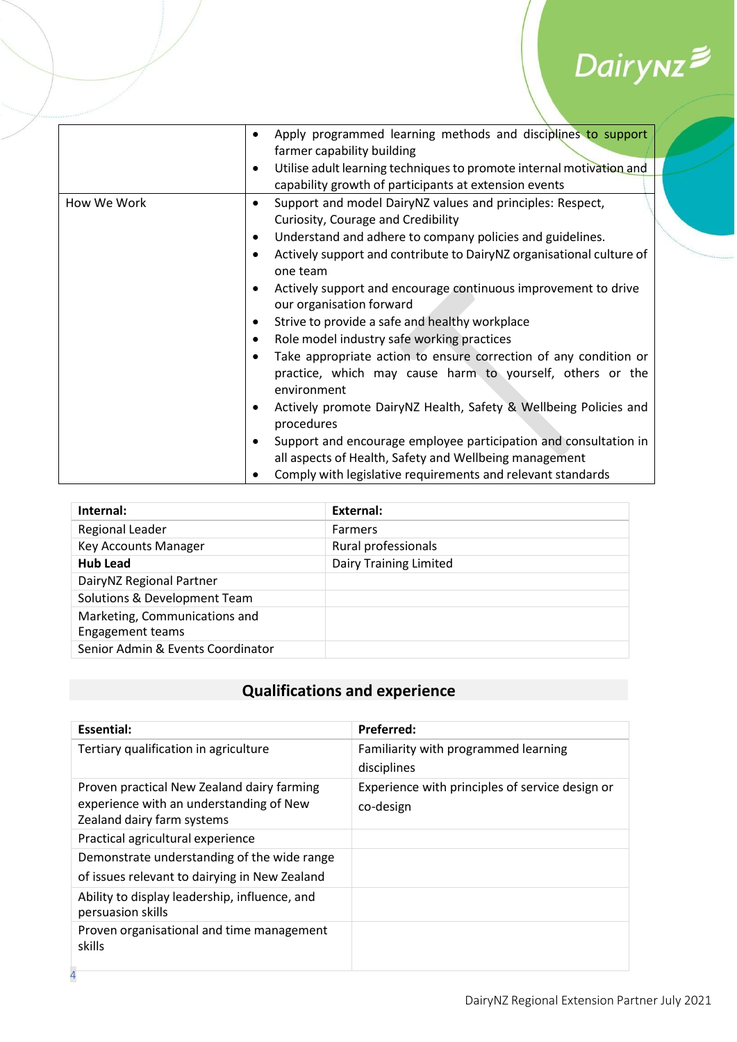# $Dairynz$

|             | Apply programmed learning methods and disciplines to support<br>٠<br>farmer capability building                                                           |
|-------------|-----------------------------------------------------------------------------------------------------------------------------------------------------------|
|             | Utilise adult learning techniques to promote internal motivation and<br>$\bullet$                                                                         |
|             | capability growth of participants at extension events                                                                                                     |
| How We Work | Support and model DairyNZ values and principles: Respect,<br>٠                                                                                            |
|             | Curiosity, Courage and Credibility                                                                                                                        |
|             | Understand and adhere to company policies and guidelines.<br>$\bullet$                                                                                    |
|             | Actively support and contribute to DairyNZ organisational culture of<br>$\bullet$<br>one team                                                             |
|             | Actively support and encourage continuous improvement to drive<br>٠<br>our organisation forward                                                           |
|             | Strive to provide a safe and healthy workplace<br>٠                                                                                                       |
|             | Role model industry safe working practices<br>$\bullet$                                                                                                   |
|             | Take appropriate action to ensure correction of any condition or<br>$\bullet$<br>practice, which may cause harm to yourself, others or the<br>environment |
|             | Actively promote DairyNZ Health, Safety & Wellbeing Policies and<br>٠<br>procedures                                                                       |
|             | Support and encourage employee participation and consultation in<br>٠<br>all aspects of Health, Safety and Wellbeing management                           |
|             | Comply with legislative requirements and relevant standards                                                                                               |

| Internal:                                                | External:                     |
|----------------------------------------------------------|-------------------------------|
| Regional Leader                                          | <b>Farmers</b>                |
| <b>Key Accounts Manager</b>                              | Rural professionals           |
| <b>Hub Lead</b>                                          | <b>Dairy Training Limited</b> |
| DairyNZ Regional Partner                                 |                               |
| Solutions & Development Team                             |                               |
| Marketing, Communications and<br><b>Engagement teams</b> |                               |
| Senior Admin & Events Coordinator                        |                               |

#### **Qualifications and experience**

| Preferred:                                                   |
|--------------------------------------------------------------|
| Familiarity with programmed learning<br>disciplines          |
| Experience with principles of service design or<br>co-design |
|                                                              |
|                                                              |
|                                                              |
|                                                              |
|                                                              |
|                                                              |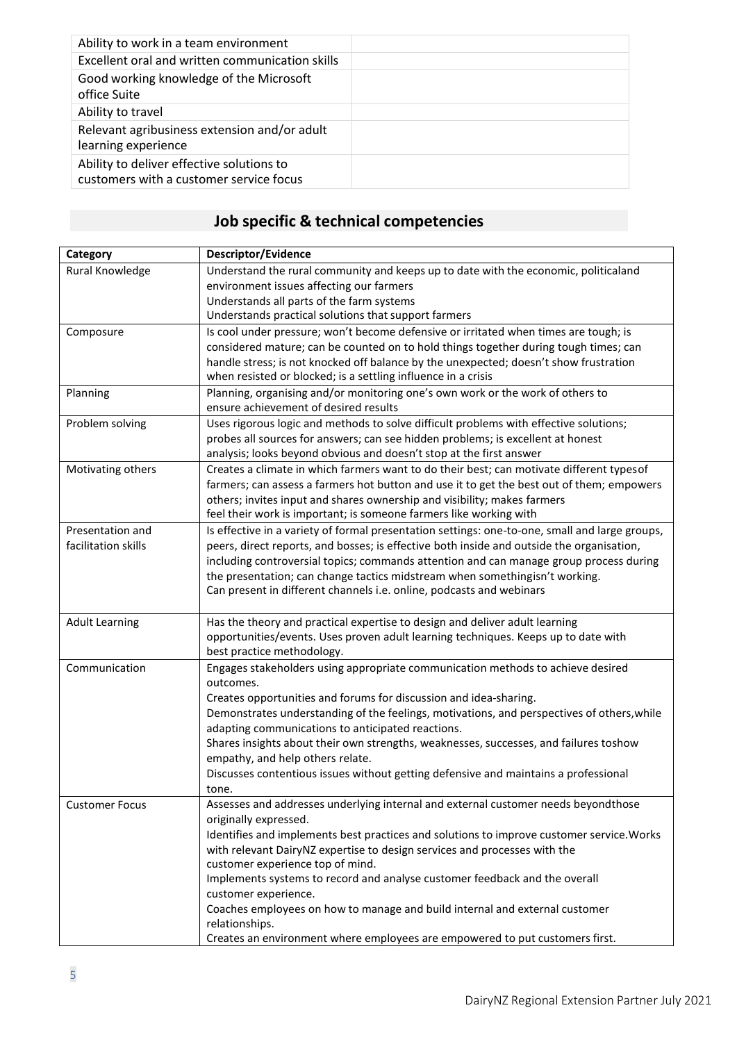| Ability to work in a team environment                                                |  |
|--------------------------------------------------------------------------------------|--|
| Excellent oral and written communication skills                                      |  |
| Good working knowledge of the Microsoft<br>office Suite                              |  |
| Ability to travel                                                                    |  |
| Relevant agribusiness extension and/or adult<br>learning experience                  |  |
| Ability to deliver effective solutions to<br>customers with a customer service focus |  |

#### **Job specific & technical competencies**

| Category                                | Descriptor/Evidence                                                                                                                                                   |
|-----------------------------------------|-----------------------------------------------------------------------------------------------------------------------------------------------------------------------|
| Rural Knowledge                         | Understand the rural community and keeps up to date with the economic, politicaland                                                                                   |
|                                         | environment issues affecting our farmers                                                                                                                              |
|                                         | Understands all parts of the farm systems                                                                                                                             |
|                                         | Understands practical solutions that support farmers                                                                                                                  |
| Composure                               | Is cool under pressure; won't become defensive or irritated when times are tough; is                                                                                  |
|                                         | considered mature; can be counted on to hold things together during tough times; can                                                                                  |
|                                         | handle stress; is not knocked off balance by the unexpected; doesn't show frustration                                                                                 |
|                                         | when resisted or blocked; is a settling influence in a crisis                                                                                                         |
| Planning                                | Planning, organising and/or monitoring one's own work or the work of others to                                                                                        |
|                                         | ensure achievement of desired results                                                                                                                                 |
| Problem solving                         | Uses rigorous logic and methods to solve difficult problems with effective solutions;                                                                                 |
|                                         | probes all sources for answers; can see hidden problems; is excellent at honest                                                                                       |
|                                         | analysis; looks beyond obvious and doesn't stop at the first answer                                                                                                   |
| Motivating others                       | Creates a climate in which farmers want to do their best; can motivate different types of                                                                             |
|                                         | farmers; can assess a farmers hot button and use it to get the best out of them; empowers                                                                             |
|                                         | others; invites input and shares ownership and visibility; makes farmers                                                                                              |
|                                         | feel their work is important; is someone farmers like working with                                                                                                    |
| Presentation and<br>facilitation skills | Is effective in a variety of formal presentation settings: one-to-one, small and large groups,                                                                        |
|                                         | peers, direct reports, and bosses; is effective both inside and outside the organisation,                                                                             |
|                                         | including controversial topics; commands attention and can manage group process during<br>the presentation; can change tactics midstream when somethingisn't working. |
|                                         | Can present in different channels i.e. online, podcasts and webinars                                                                                                  |
|                                         |                                                                                                                                                                       |
| <b>Adult Learning</b>                   | Has the theory and practical expertise to design and deliver adult learning                                                                                           |
|                                         | opportunities/events. Uses proven adult learning techniques. Keeps up to date with                                                                                    |
|                                         | best practice methodology.                                                                                                                                            |
| Communication                           | Engages stakeholders using appropriate communication methods to achieve desired                                                                                       |
|                                         | outcomes.                                                                                                                                                             |
|                                         | Creates opportunities and forums for discussion and idea-sharing.                                                                                                     |
|                                         | Demonstrates understanding of the feelings, motivations, and perspectives of others, while                                                                            |
|                                         | adapting communications to anticipated reactions.                                                                                                                     |
|                                         | Shares insights about their own strengths, weaknesses, successes, and failures toshow                                                                                 |
|                                         | empathy, and help others relate.                                                                                                                                      |
|                                         | Discusses contentious issues without getting defensive and maintains a professional                                                                                   |
|                                         | tone.                                                                                                                                                                 |
| <b>Customer Focus</b>                   | Assesses and addresses underlying internal and external customer needs beyondthose                                                                                    |
|                                         | originally expressed.                                                                                                                                                 |
|                                         | Identifies and implements best practices and solutions to improve customer service. Works                                                                             |
|                                         | with relevant DairyNZ expertise to design services and processes with the                                                                                             |
|                                         | customer experience top of mind.                                                                                                                                      |
|                                         | Implements systems to record and analyse customer feedback and the overall<br>customer experience.                                                                    |
|                                         | Coaches employees on how to manage and build internal and external customer                                                                                           |
|                                         | relationships.                                                                                                                                                        |
|                                         | Creates an environment where employees are empowered to put customers first.                                                                                          |
|                                         |                                                                                                                                                                       |